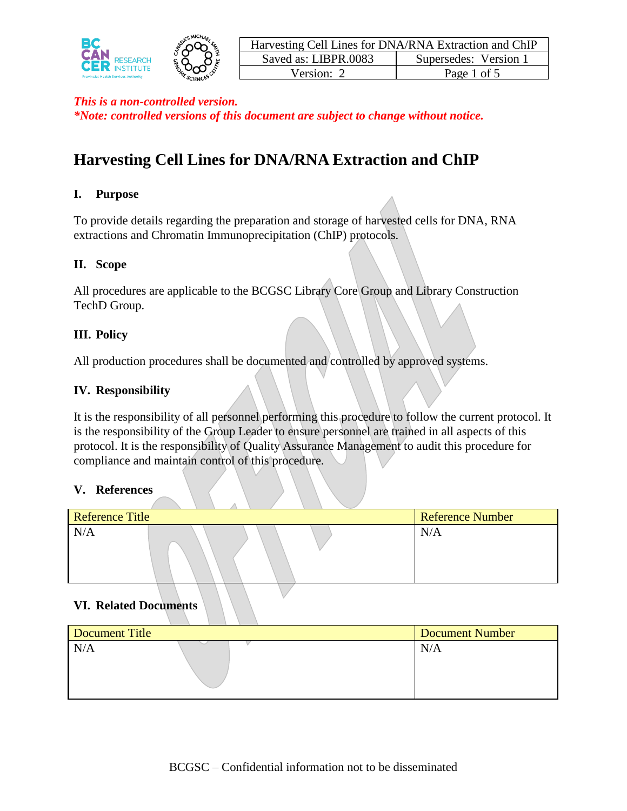



# **Harvesting Cell Lines for DNA/RNA Extraction and ChIP**

#### **I. Purpose**

To provide details regarding the preparation and storage of harvested cells for DNA, RNA extractions and Chromatin Immunoprecipitation (ChIP) protocols.

#### **II. Scope**

All procedures are applicable to the BCGSC Library Core Group and Library Construction TechD Group.

#### **III. Policy**

All production procedures shall be documented and controlled by approved systems.

#### **IV. Responsibility**

It is the responsibility of all personnel performing this procedure to follow the current protocol. It is the responsibility of the Group Leader to ensure personnel are trained in all aspects of this protocol. It is the responsibility of Quality Assurance Management to audit this procedure for compliance and maintain control of this procedure.

#### **V. References**

| <b>Reference Title</b> | <b>Reference Number</b> |
|------------------------|-------------------------|
| N/A                    | N/A                     |

## **VI. Related Documents**

| Document Title | Document Number |
|----------------|-----------------|
| N/A            | N/A             |
|                |                 |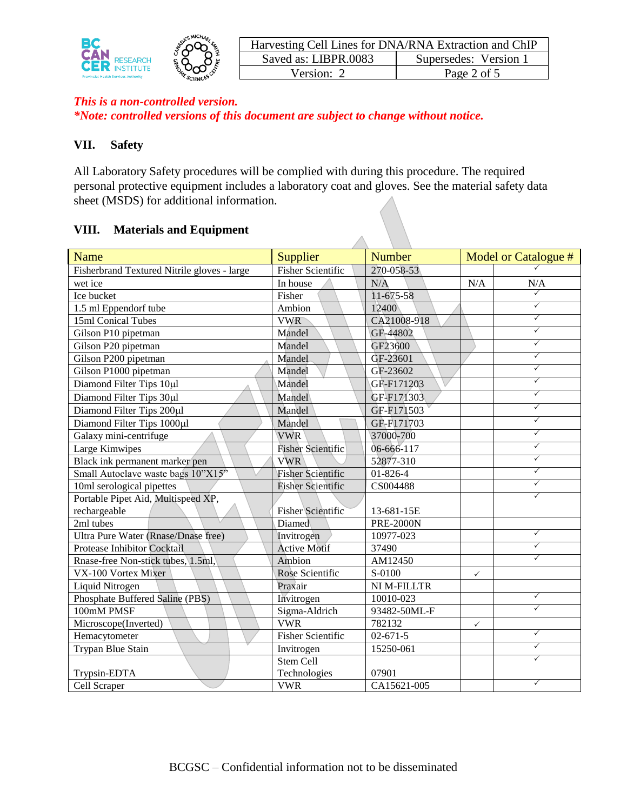

| Harvesting Cell Lines for DNA/RNA Extraction and ChIP |                       |  |
|-------------------------------------------------------|-----------------------|--|
| Saved as: LIBPR.0083                                  | Supersedes: Version 1 |  |
| Version: 2                                            | Page 2 of 5           |  |

#### **VII. Safety**

All Laboratory Safety procedures will be complied with during this procedure. The required personal protective equipment includes a laboratory coat and gloves. See the material safety data sheet (MSDS) for additional information.

А

#### **VIII. Materials and Equipment**

| Name                                        | Supplier                 | <b>Number</b>    |              | Model or Catalogue # |
|---------------------------------------------|--------------------------|------------------|--------------|----------------------|
| Fisherbrand Textured Nitrile gloves - large | <b>Fisher Scientific</b> | 270-058-53       |              |                      |
| wet ice                                     | In house                 | N/A              | N/A          | N/A                  |
| Ice bucket                                  | Fisher                   | 11-675-58        |              | ✓                    |
| 1.5 ml Eppendorf tube                       | Ambion                   | 12400            |              | $\checkmark$         |
| 15ml Conical Tubes                          | <b>VWR</b>               | CA21008-918      |              | $\checkmark$         |
| Gilson P10 pipetman                         | Mandel                   | GF-44802         |              | $\checkmark$         |
| Gilson P20 pipetman                         | Mandel                   | GF23600          |              | $\checkmark$         |
| Gilson P200 pipetman                        | Mandel                   | GF-23601         |              | $\checkmark$         |
| Gilson P1000 pipetman                       | Mandel                   | GF-23602         |              | $\checkmark$         |
| Diamond Filter Tips 10µl                    | Mandel                   | GF-F171203       |              | $\checkmark$         |
| Diamond Filter Tips 30µl                    | Mandel                   | GF-F171303       |              | ✓                    |
| Diamond Filter Tips 200µl                   | Mandel                   | GF-F171503       |              | ✓                    |
| Diamond Filter Tips 1000µl                  | Mandel                   | GF-F171703       |              | $\checkmark$         |
| Galaxy mini-centrifuge                      | <b>VWR</b>               | 37000-700        |              | $\checkmark$         |
| Large Kimwipes                              | <b>Fisher Scientific</b> | 06-666-117       |              | $\checkmark$         |
| Black ink permanent marker pen              | <b>VWR</b>               | 52877-310        |              | $\checkmark$         |
| Small Autoclave waste bags 10"X15"          | <b>Fisher Scientific</b> | $01 - 826 - 4$   |              | ✓                    |
| 10ml serological pipettes                   | <b>Fisher Scientific</b> | CS004488         |              | $\checkmark$         |
| Portable Pipet Aid, Multispeed XP,          |                          |                  |              | $\checkmark$         |
| rechargeable                                | <b>Fisher Scientific</b> | 13-681-15E       |              |                      |
| 2ml tubes                                   | Diamed                   | <b>PRE-2000N</b> |              |                      |
| Ultra Pure Water (Rnase/Dnase free)         | Invitrogen               | 10977-023        |              | $\checkmark$         |
| Protease Inhibitor Cocktail                 | <b>Active Motif</b>      | 37490            |              | $\checkmark$         |
| Rnase-free Non-stick tubes, 1.5ml,          | Ambion                   | AM12450          |              | $\checkmark$         |
| VX-100 Vortex Mixer                         | Rose Scientific          | S-0100           | $\checkmark$ |                      |
| Liquid Nitrogen                             | Praxair                  | NI M-FILLTR      |              |                      |
| Phosphate Buffered Saline (PBS)             | Invitrogen               | 10010-023        |              | $\checkmark$         |
| 100mM PMSF                                  | Sigma-Aldrich            | 93482-50ML-F     |              | ✓                    |
| Microscope(Inverted)                        | <b>VWR</b>               | 782132           | $\checkmark$ |                      |
| Hemacytometer                               | <b>Fisher Scientific</b> | $02 - 671 - 5$   |              | ✓                    |
| Trypan Blue Stain                           | Invitrogen               | 15250-061        |              | ✓                    |
|                                             | Stem Cell                |                  |              | $\checkmark$         |
| Trypsin-EDTA                                | Technologies             | 07901            |              |                      |
| Cell Scraper                                | <b>VWR</b>               | CA15621-005      |              | ✓                    |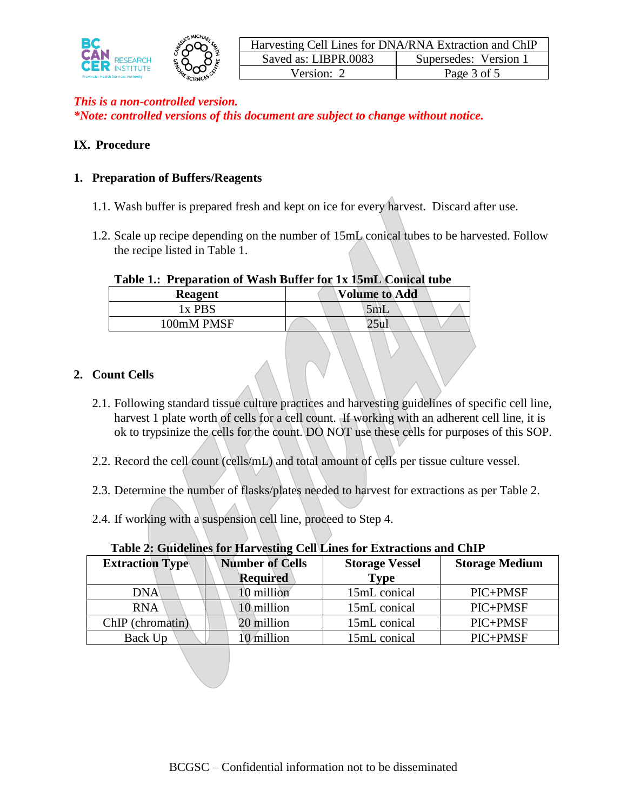

## **IX. Procedure**

#### **1. Preparation of Buffers/Reagents**

- 1.1. Wash buffer is prepared fresh and kept on ice for every harvest. Discard after use.
- 1.2. Scale up recipe depending on the number of 15mL conical tubes to be harvested. Follow the recipe listed in Table 1.

#### **Table 1.: Preparation of Wash Buffer for 1x 15mL Conical tube**

| AWAN AU AAVWAMADADA UA TIMAA ARAANA AUA AA AWAMAH CUMANA UGAR |                      |  |  |
|---------------------------------------------------------------|----------------------|--|--|
| Reagent                                                       | <b>Volume to Add</b> |  |  |
| 1x PBS                                                        | 5mL                  |  |  |
| 100mM PMSF                                                    |                      |  |  |
|                                                               |                      |  |  |

#### **2. Count Cells**

- 2.1. Following standard tissue culture practices and harvesting guidelines of specific cell line, harvest 1 plate worth of cells for a cell count. If working with an adherent cell line, it is ok to trypsinize the cells for the count. DO NOT use these cells for purposes of this SOP.
- 2.2. Record the cell count (cells/mL) and total amount of cells per tissue culture vessel.
- 2.3. Determine the number of flasks/plates needed to harvest for extractions as per Table 2.
- 2.4. If working with a suspension cell line, proceed to Step 4.

| Table 2, Guidelines for that vesting cen Eines for Extractions and Chin |                        |                       |                       |  |
|-------------------------------------------------------------------------|------------------------|-----------------------|-----------------------|--|
| <b>Extraction Type</b>                                                  | <b>Number of Cells</b> | <b>Storage Vessel</b> | <b>Storage Medium</b> |  |
|                                                                         | Required               | <b>Type</b>           |                       |  |
| <b>DNA</b>                                                              | 10 million             | 15mL conical          | PIC+PMSF              |  |
| <b>RNA</b>                                                              | 10 million             | 15mL conical          | PIC+PMSF              |  |
| ChIP (chromatin)                                                        | 20 million             | 15mL conical          | PIC+PMSF              |  |
| Back Up                                                                 | 10 million             | 15mL conical          | PIC+PMSF              |  |

#### **Table 2: Guidelines for Harvesting Cell Lines for Extractions and ChIP**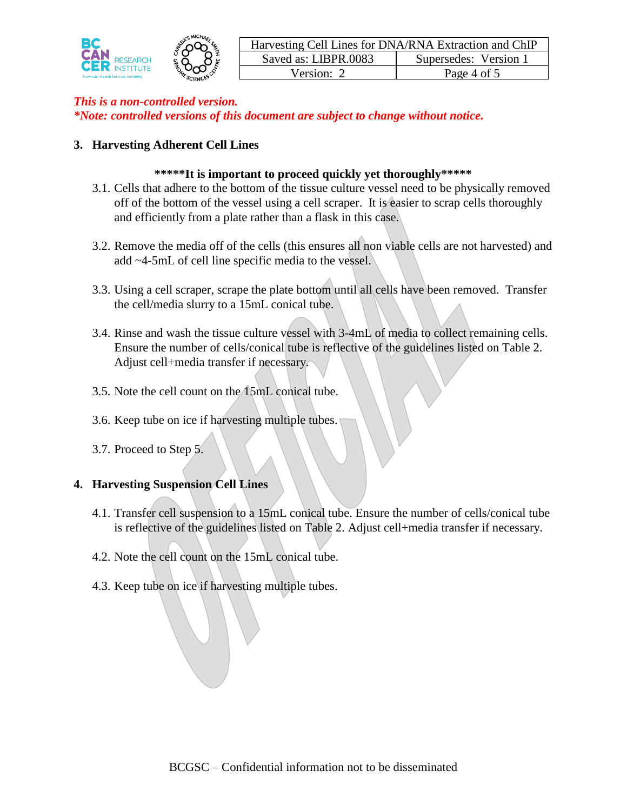



#### **3. Harvesting Adherent Cell Lines**

#### **\*\*\*\*\*It is important to proceed quickly yet thoroughly\*\*\*\*\***

- 3.1. Cells that adhere to the bottom of the tissue culture vessel need to be physically removed off of the bottom of the vessel using a cell scraper. It is easier to scrap cells thoroughly and efficiently from a plate rather than a flask in this case.
- 3.2. Remove the media off of the cells (this ensures all non viable cells are not harvested) and add ~4-5mL of cell line specific media to the vessel.
- 3.3. Using a cell scraper, scrape the plate bottom until all cells have been removed. Transfer the cell/media slurry to a 15mL conical tube.
- 3.4. Rinse and wash the tissue culture vessel with 3-4mL of media to collect remaining cells. Ensure the number of cells/conical tube is reflective of the guidelines listed on Table 2. Adjust cell+media transfer if necessary.
- 3.5. Note the cell count on the 15mL conical tube.
- 3.6. Keep tube on ice if harvesting multiple tubes.
- 3.7. Proceed to Step 5.

#### **4. Harvesting Suspension Cell Lines**

- 4.1. Transfer cell suspension to a 15mL conical tube. Ensure the number of cells/conical tube is reflective of the guidelines listed on Table 2. Adjust cell+media transfer if necessary.
- 4.2. Note the cell count on the 15mL conical tube.
- 4.3. Keep tube on ice if harvesting multiple tubes.